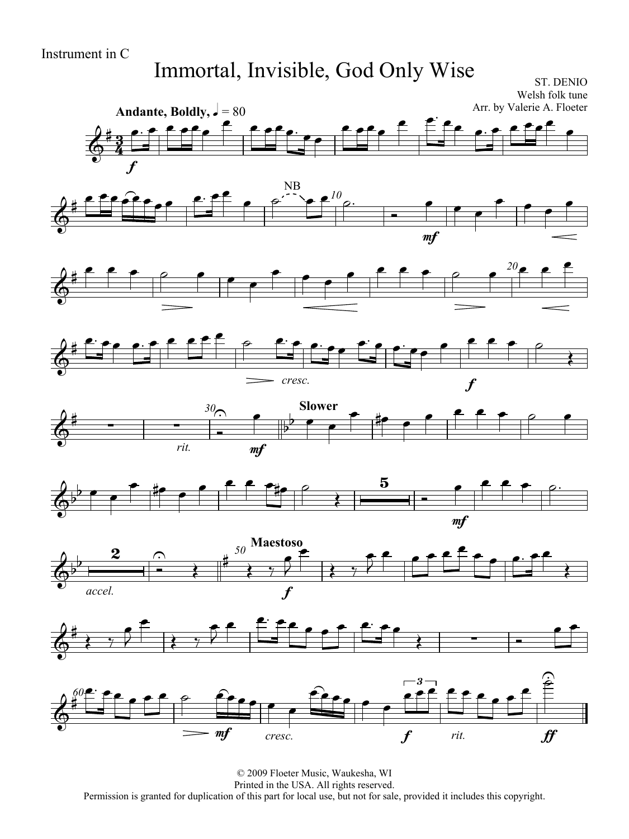#### Instrument in C

## Immortal, Invisible, God Only Wise

ST. DENIO Welsh folk tune



© 2009 Floeter Music, Waukesha, WI Printed in the USA. All rights reserved. Permission is granted for duplication of this part for local use, but not for sale, provided it includes this copyright.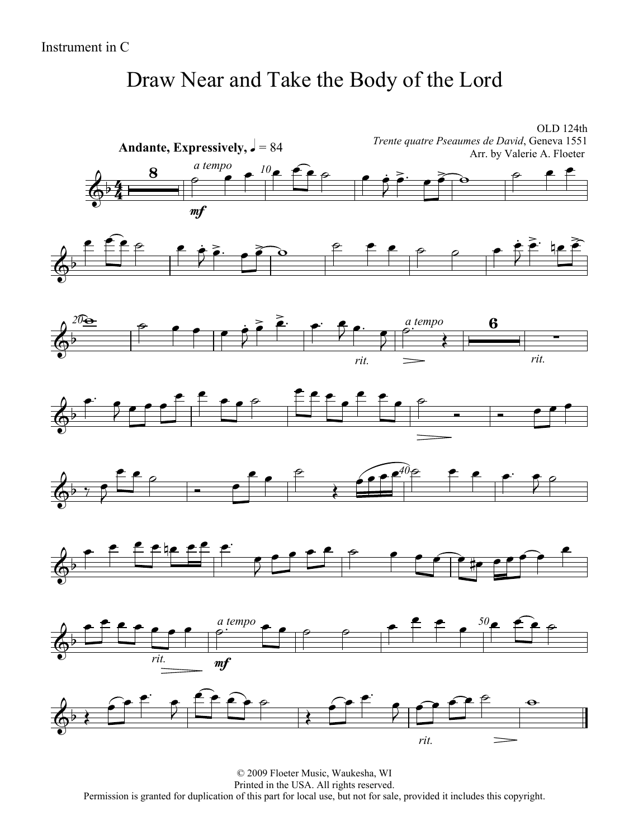## Draw Near and Take the Body of the Lord

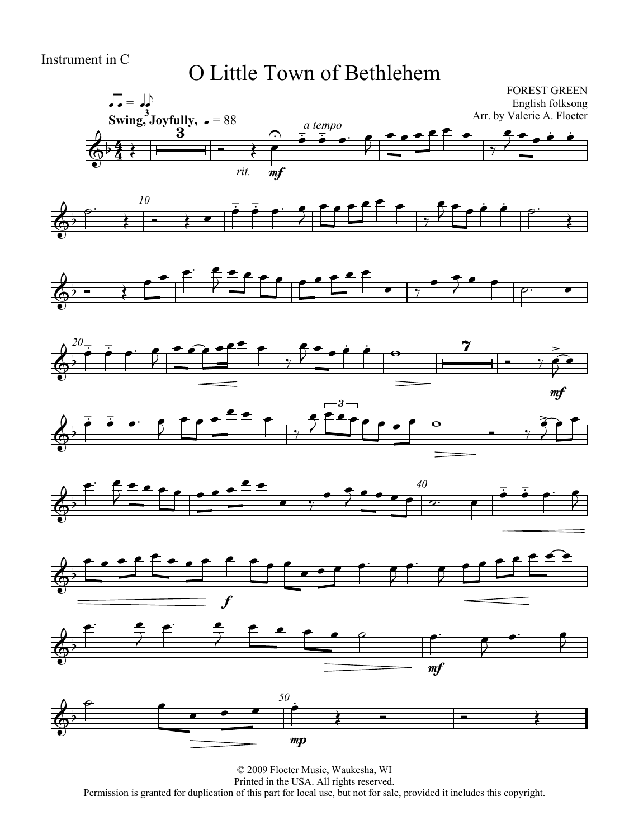#### O Little Town of Bethlehem















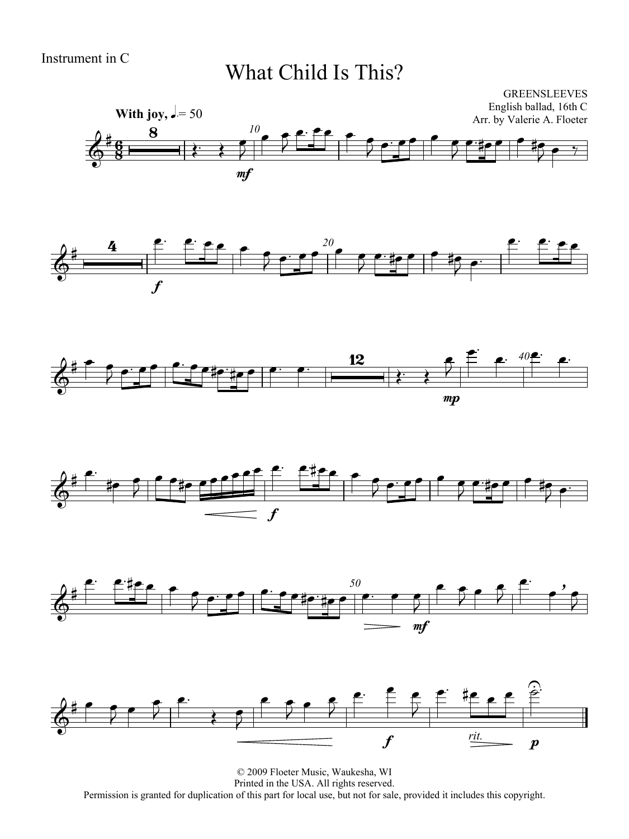#### What Child Is This?











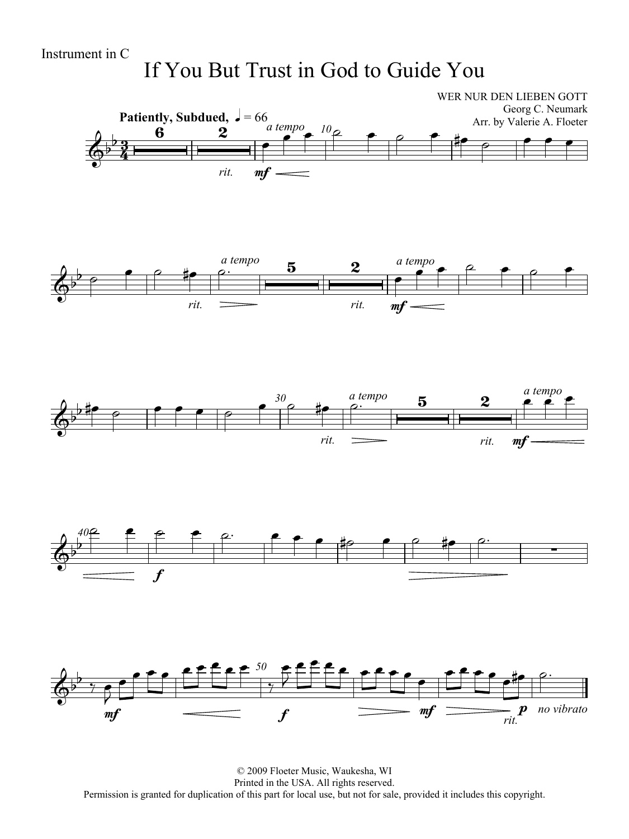## If You But Trust in God to Guide You



© 2009 Floeter Music, Waukesha, WI Printed in the USA. All rights reserved. Permission is granted for duplication of this part for local use, but not for sale, provided it includes this copyright.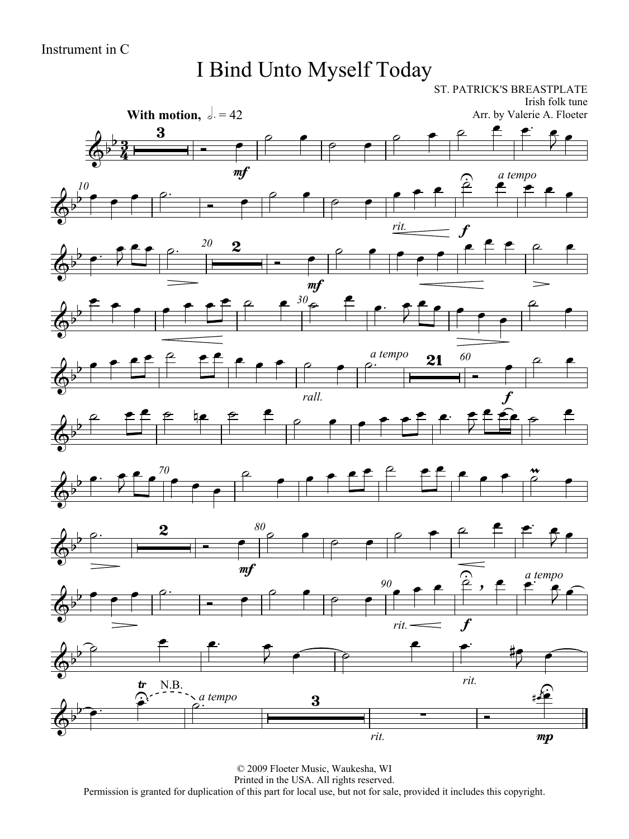## I Bind Unto Myself Today

ST. PATRICK'S BREASTPLATE Irish folk tune **With motion,**  $\partial = 42$ Arr. by Valerie A. Floeter  $\begin{array}{c|c|c|c|c} & 3 & \\ \hline & 3 & \\ \hline 2 & & & \end{array}$  $\circ$   $\bullet$  $rac{1}{\sqrt{1-\frac{1}{2}}}$ <u>3</u>  $\overline{\phantom{0}}$  $\rho$  $\overline{\Phi^{\flat}}$  $\frac{3}{4}$ mf  $\hat{\mathbf{z}}$ *a tempo*  $\hat{\mathbf{r}}$  $\rightarrow$   $\rightarrow$   $\rightarrow$ *10*  $\begin{array}{c} 10 \\ \uparrow \end{array}$  $\rho$  $\overline{\rho}$  $\overline{\Phi}$ *rit.* f  $\begin{array}{|c|c|c|c|}\n\hline\n\text{r} & \text{r} & \text{r} & \text{r} \\
\hline\n\end{array}$  $\rightarrow$   $\rightarrow$   $\rightarrow$ *20*  $\circ$   $\bullet$   $\bullet$   $\bullet$  $\overline{\phantom{0}}$  $\bar{\bar{z}}$  $\overline{\Phi^{\flat}}$ mf  $\overline{\phantom{0}}$  $\overline{\phantom{a}}$   $\ddot{\phantom{a}}$  $\overline{\rho}$  $\overline{\cdot}$ *30*  $\overline{\phantom{a}}$  $\frac{1}{2}$  $\frac{1}{2}$  $\overline{\Phi}$   $\begin{array}{c|cc}\n a \text{ tempo} & \mathbf{21} & 60 \\
 \hline\n \end{array}$  $\frac{1}{\sqrt{2}}$ *60*  $\sim$  $\bullet$  $\overline{\Phi}$ *rall.* f  $f \circ \theta$  $\overline{\phantom{a}}$  $\begin{array}{ccc} \circ & \bullet & \bullet & \bullet & \bullet & \bullet \\ \end{array}$  $\overline{\mathbf{z}}$  $\overline{\Phi}$  $\bullet$   $\bullet$   $\bullet$   $\bullet$   $\stackrel{\circ}{\leftarrow}$   $\bullet$   $\stackrel{\circ}{\leftarrow}$   $\bullet$   $\bullet$  $\mathbf{e}^{\prime\theta}$  $\overline{P}$  $\frac{1}{2}$  $\rightarrow$   $\rightarrow$ *70*  $\overrightarrow{a}$  $\overline{2}$  $\overline{\Phi}$  $\rho$   $\rho$   $\rho$   $\rho$   $\rho$   $\rho$   $\rho$  $\begin{array}{|c|c|c|c|}\n\hline\n\circ & 2 \\
\hline\n\end{array}$  -*80*  $\circ$  $rac{1}{\sqrt{2}}$  $\overline{\phantom{0}}$  $\overline{\rho}$  $\overline{\Phi}$  $m\ddot{f}$  $\widehat{\mathbf{c}}$ <u>ූ</u> ,  $f{f}$  *a tempo*  $\bullet$   $\bullet$   $\bullet$ *90*  $\begin{array}{|c|c|c|c|c|c|}\n\hline\n\end{array}$  $\circ$   $\bullet$  $z_{\rm f}$  $\overline{\rho}$  $\overline{\Phi^{\flat}}$ f *rit.*  $\overrightarrow{r}$  $\overline{\phantom{a}}$  $\begin{array}{ccc} \bullet & & \bullet \end{array}$  $\widehat{\mathbb{P}^2}$  $\sqrt{2}$  $\overline{\phantom{a}}$  $\overline{\Phi^{\flat}}$ *rit.* N.B.  $\boldsymbol{t}$ €  $\hat{\cdot}$ )<br>4+ *a tempo* جر  $\overline{\mathbf{P}$   $\overline{\Phi^{\flat}}$ *rit.* mp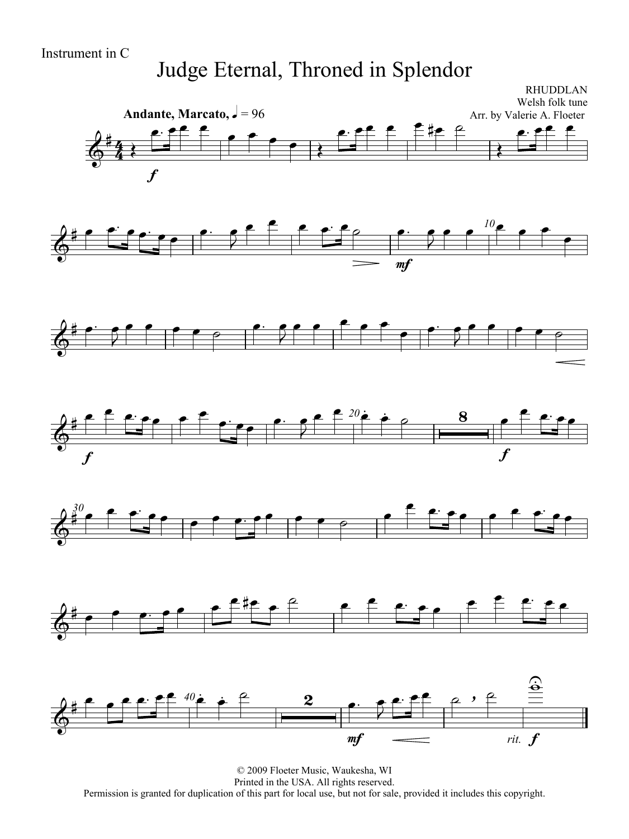#### Judge Eternal, Throned in Splendor

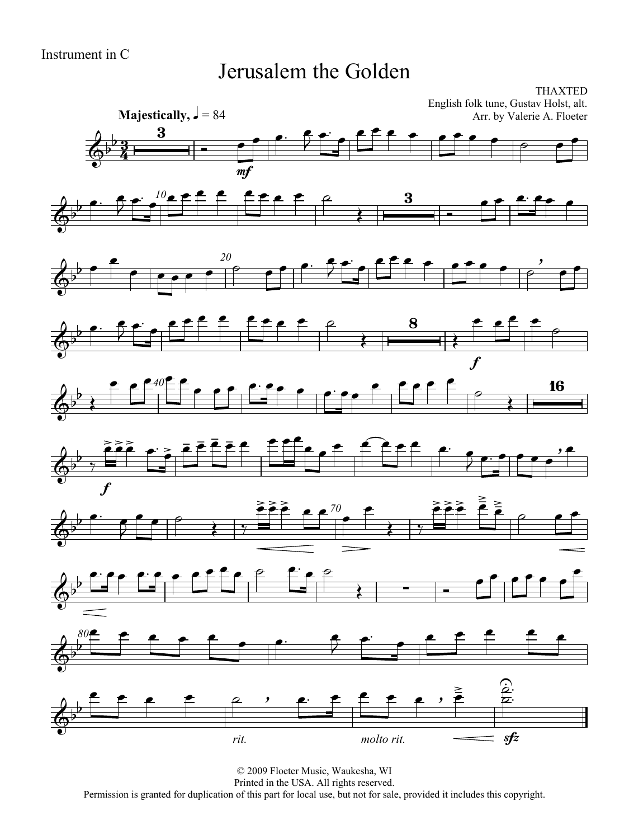#### Jerusalem the Golden

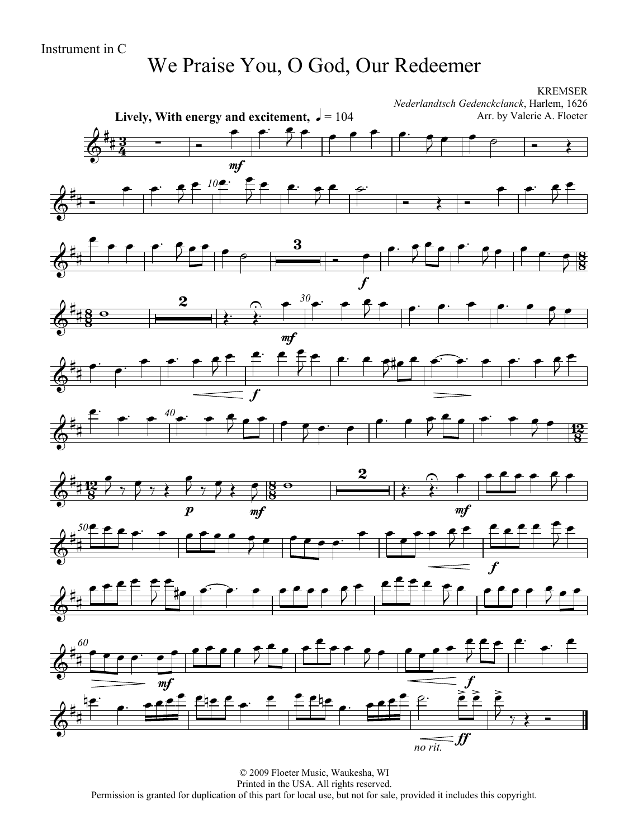#### We Praise You, O God, Our Redeemer